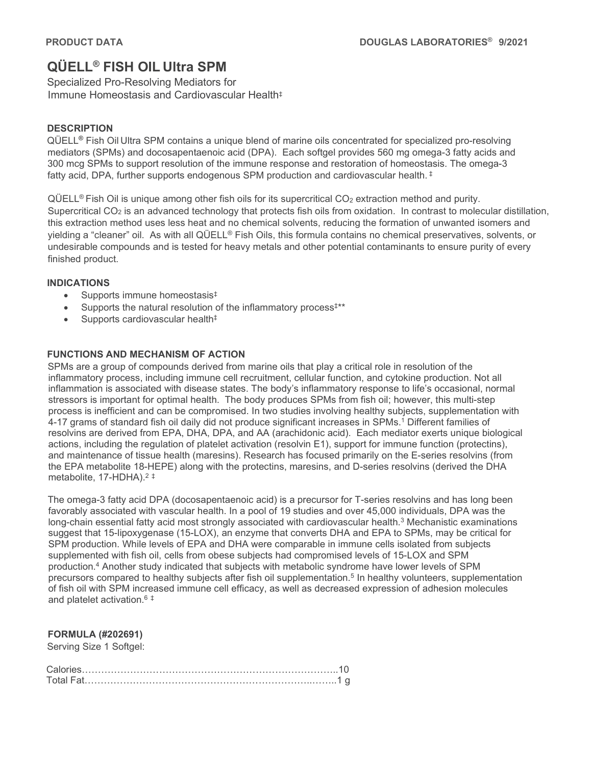# **QÜELL® FISH OIL Ultra SPM**

Specialized Pro-Resolving Mediators for Immune Homeostasis and Cardiovascular Health‡

## **DESCRIPTION**

QÜELL**®** Fish Oil Ultra SPM contains a unique blend of marine oils concentrated for specialized pro-resolving mediators (SPMs) and docosapentaenoic acid (DPA). Each softgel provides 560 mg omega-3 fatty acids and 300 mcg SPMs to support resolution of the immune response and restoration of homeostasis. The omega-3 fatty acid, DPA, further supports endogenous SPM production and cardiovascular health.<sup>‡</sup>

 $QÜELL<sup>®</sup>$  Fish Oil is unique among other fish oils for its supercritical  $CO<sub>2</sub>$  extraction method and purity. Supercritical  $CO<sub>2</sub>$  is an advanced technology that protects fish oils from oxidation. In contrast to molecular distillation, this extraction method uses less heat and no chemical solvents, reducing the formation of unwanted isomers and yielding a "cleaner" oil. As with all QÜELL® Fish Oils, this formula contains no chemical preservatives, solvents, or undesirable compounds and is tested for heavy metals and other potential contaminants to ensure purity of every finished product.

## **INDICATIONS**

- Supports immune homeostasis‡
- Supports the natural resolution of the inflammatory process‡\*\*
- Supports cardiovascular health<sup>‡</sup>

## **FUNCTIONS AND MECHANISM OF ACTION**

SPMs are a group of compounds derived from marine oils that play a critical role in resolution of the inflammatory process, including immune cell recruitment, cellular function, and cytokine production. Not all inflammation is associated with disease states. The body's inflammatory response to life's occasional, normal stressors is important for optimal health. The body produces SPMs from fish oil; however, this multi-step process is inefficient and can be compromised. In two studies involving healthy subjects, supplementation with 4-17 grams of standard fish oil daily did not produce significant increases in SPMs.1 Different families of resolvins are derived from EPA, DHA, DPA, and AA (arachidonic acid). Each mediator exerts unique biological actions, including the regulation of platelet activation (resolvin E1), support for immune function (protectins), and maintenance of tissue health (maresins). Research has focused primarily on the E-series resolvins (from the EPA metabolite 18-HEPE) along with the protectins, maresins, and D-series resolvins (derived the DHA metabolite, 17-HDHA). 2 ‡

The omega-3 fatty acid DPA (docosapentaenoic acid) is a precursor for T-series resolvins and has long been favorably associated with vascular health. In a pool of 19 studies and over 45,000 individuals, DPA was the long-chain essential fatty acid most strongly associated with cardiovascular health.<sup>3</sup> Mechanistic examinations suggest that 15-lipoxygenase (15-LOX), an enzyme that converts DHA and EPA to SPMs, may be critical for SPM production. While levels of EPA and DHA were comparable in immune cells isolated from subjects supplemented with fish oil, cells from obese subjects had compromised levels of 15-LOX and SPM production.4 Another study indicated that subjects with metabolic syndrome have lower levels of SPM precursors compared to healthy subjects after fish oil supplementation.<sup>5</sup> In healthy volunteers, supplementation of fish oil with SPM increased immune cell efficacy, as well as decreased expression of adhesion molecules and platelet activation.6 ‡

## **FORMULA (#202691)**

Serving Size 1 Softgel: